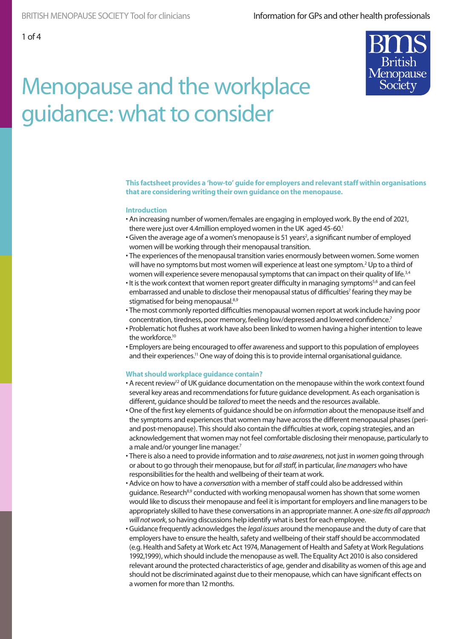

**This factsheet provides a 'how-to' guide for employers and relevant staff within organisations that are considering writing their own guidance on the menopause.** 

#### **Introduction**

- An increasing number of women/females are engaging in employed work. By the end of 2021, there were just over 4.4million employed women in the UK aged 45-60.<sup>1</sup>
- Given the average age of a women's menopause is 51 years<sup>2</sup>, a significant number of employed women will be working through their menopausal transition.
- The experiences of the menopausal transition varies enormously between women. Some women will have no symptoms but most women will experience at least one symptom.<sup>2</sup> Up to a third of women will experience severe menopausal symptoms that can impact on their quality of life.<sup>3,4</sup>
- It is the work context that women report greater difficulty in managing symptoms<sup>5,6</sup> and can feel embarrassed and unable to disclose their menopausal status of difficulties<sup>7</sup> fearing they may be stigmatised for being menopausal.<sup>8,9</sup>
- The most commonly reported difficulties menopausal women report at work include having poor concentration, tiredness, poor memory, feeling low/depressed and lowered confidence.<sup>7</sup>
- Problematic hot flushes at work have also been linked to women having a higher intention to leave the workforce.<sup>10</sup>
- Employers are being encouraged to offer awareness and support to this population of employees and their experiences.<sup>11</sup> One way of doing this is to provide internal organisational guidance.

#### **What should workplace guidance contain?**

- A recent review<sup>12</sup> of UK guidance documentation on the menopause within the work context found several key areas and recommendations for future guidance development. As each organisation is different, guidance should be *tailored* to meet the needs and the resources available.
- One of the first key elements of guidance should be on *information* about the menopause itself and the symptoms and experiences that women may have across the different menopausal phases (periand post-menopause). This should also contain the difficulties at work, coping strategies, and an acknowledgement that women may not feel comfortable disclosing their menopause, particularly to a male and/or younger line manager.<sup>7</sup>
- There is also a need to provide information and to *raise awareness*, not just in *women* going through or about to go through their menopause, but for *all staff*, in particular, *line managers* who have responsibilities for the health and wellbeing of their team at work.
- Advice on how to have a *conversation* with a member of staff could also be addressed within guidance. Research<sup>8,9</sup> conducted with working menopausal women has shown that some women would like to discuss their menopause and feel it is important for employers and line managers to be appropriately skilled to have these conversations in an appropriate manner. A *one-size fits all approach will not work*, so having discussions help identify what is best for each employee.
- Guidance frequently acknowledges the *legal issues* around the menopause and the duty of care that employers have to ensure the health, safety and wellbeing of their staff should be accommodated (e.g. Health and Safety at Work etc Act 1974, Management of Health and Safety at Work Regulations 1992,1999), which should include the menopause as well. The Equality Act 2010 is also considered relevant around the protected characteristics of age, gender and disability as women of this age and should not be discriminated against due to their menopause, which can have significant effects on a women for more than 12 months.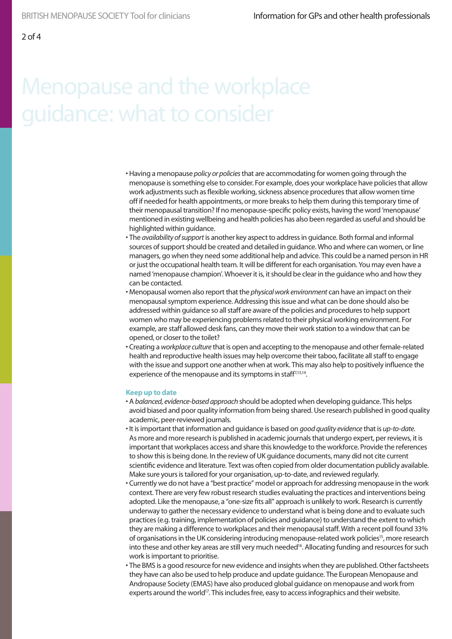- Having a menopause *policy or policies* that are accommodating for women going through the menopause is something else to consider. For example, does your workplace have policies that allow work adjustments such as flexible working, sickness absence procedures that allow women time off if needed for health appointments, or more breaks to help them during this temporary time of their menopausal transition? If no menopause-specific policy exists, having the word 'menopause' mentioned in existing wellbeing and health policies has also been regarded as useful and should be highlighted within guidance.
- The *availability of support* is another key aspect to address in guidance. Both formal and informal sources of support should be created and detailed in guidance. Who and where can women, or line managers, go when they need some additional help and advice. This could be a named person in HR or just the occupational health team. It will be different for each organisation. You may even have a named 'menopause champion'. Whoever it is, it should be clear in the guidance who and how they can be contacted.
- Menopausal women also report that the *physical work environment* can have an impact on their menopausal symptom experience. Addressing this issue and what can be done should also be addressed within guidance so all staff are aware of the policies and procedures to help support women who may be experiencing problems related to their physical working environment. For example, are staff allowed desk fans, can they move their work station to a window that can be opened, or closer to the toilet?
- Creating a *workplace culture* that is open and accepting to the menopause and other female-related health and reproductive health issues may help overcome their taboo, facilitate all staff to engage with the issue and support one another when at work. This may also help to positively influence the experience of the menopause and its symptoms in staff<sup>7,13,14</sup>.

### **Keep up to date**

- A *balanced, evidence-based approach* should be adopted when developing guidance. This helps avoid biased and poor quality information from being shared. Use research published in good quality academic, peer-reviewed journals.
- It is important that information and guidance is based on *good quality evidence* that is *up-to-date*. As more and more research is published in academic journals that undergo expert, per reviews, it is important that workplaces access and share this knowledge to the workforce. Provide the references to show this is being done. In the review of UK guidance documents, many did not cite current scientific evidence and literature. Text was often copied from older documentation publicly available. Make sure yours is tailored for your organisation, up-to-date, and reviewed regularly.
- Currently we do not have a "best practice" model or approach for addressing menopause in the work context. There are very few robust research studies evaluating the practices and interventions being adopted. Like the menopause, a "one-size fits all" approach is unlikely to work. Research is currently underway to gather the necessary evidence to understand what is being done and to evaluate such practices (e.g. training, implementation of policies and guidance) to understand the extent to which they are making a difference to workplaces and their menopausal staff. With a recent poll found 33% of organisations in the UK considering introducing menopause-related work policies<sup>15</sup>, more research into these and other key areas are still very much needed<sup>16</sup>. Allocating funding and resources for such work is important to prioritise.
- The BMS is a good resource for new evidence and insights when they are published. Other factsheets they have can also be used to help produce and update guidance. The European Menopause and Andropause Society (EMAS) have also produced global guidance on menopause and work from experts around the world<sup>17</sup>. This includes free, easy to access infographics and their website.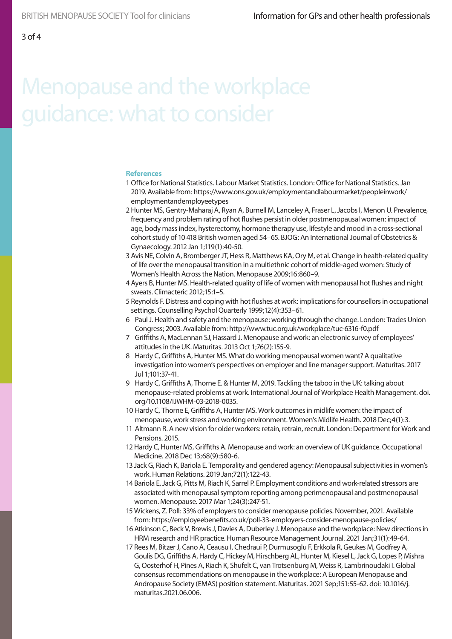### **References**

- 1 Office for National Statistics. Labour Market Statistics. London: Office for National Statistics. Jan 2019. Available from: https://www.ons.gov.uk/employmentandlabourmarket/peopleinwork/ employmentandemployeetypes
- 2 Hunter MS, Gentry-Maharaj A, Ryan A, Burnell M, Lanceley A, Fraser L, Jacobs I, Menon U. Prevalence, frequency and problem rating of hot flushes persist in older postmenopausal women: impact of age, body mass index, hysterectomy, hormone therapy use, lifestyle and mood in a cross-sectional cohort study of 10 418 British women aged 54–65. BJOG: An International Journal of Obstetrics & Gynaecology. 2012 Jan 1;119(1):40-50.
- 3 Avis NE, Colvin A, Bromberger JT, Hess R, Matthews KA, Ory M, et al. Change in health-related quality of life over the menopausal transition in a multiethnic cohort of middle-aged women: Study of Women's Health Across the Nation. Menopause 2009;16:860–9.
- 4 Ayers B, Hunter MS. Health-related quality of life of women with menopausal hot flushes and night sweats. Climacteric 2012;15:1–5.
- 5 Reynolds F. Distress and coping with hot flushes at work: implications for counsellors in occupational settings. Counselling Psychol Quarterly 1999;12(4):353–61.
- 6 Paul J. Health and safety and the menopause: working through the change. London: Trades Union Congress; 2003. Available from: http://www.tuc.org.uk/workplace/tuc-6316-f0.pdf
- 7 Griffiths A, MacLennan SJ, Hassard J. Menopause and work: an electronic survey of employees' attitudes in the UK. Maturitas. 2013 Oct 1;76(2):155-9.
- 8 Hardy C, Griffiths A, Hunter MS. What do working menopausal women want? A qualitative investigation into women's perspectives on employer and line manager support. Maturitas. 2017 Jul 1;101:37-41.
- 9 Hardy C, Griffiths A, Thorne E. & Hunter M, 2019. Tackling the taboo in the UK: talking about menopause-related problems at work. International Journal of Workplace Health Management. doi. org/10.1108/IJWHM-03-2018-0035.
- 10 Hardy C, Thorne E, Griffiths A, Hunter MS. Work outcomes in midlife women: the impact of menopause, work stress and working environment. Women's Midlife Health. 2018 Dec;4(1):3.
- 11 Altmann R. A new vision for older workers: retain, retrain, recruit. London: Department for Work and Pensions. 2015.
- 12 Hardy C, Hunter MS, Griffiths A. Menopause and work: an overview of UK guidance. Occupational Medicine. 2018 Dec 13;68(9):580-6.
- 13 Jack G, Riach K, Bariola E. Temporality and gendered agency: Menopausal subjectivities in women's work. Human Relations. 2019 Jan;72(1):122-43.
- 14 Bariola E, Jack G, Pitts M, Riach K, Sarrel P. Employment conditions and work-related stressors are associated with menopausal symptom reporting among perimenopausal and postmenopausal women. Menopause. 2017 Mar 1;24(3):247-51.
- 15 Wickens, Z. Poll: 33% of employers to consider menopause policies. November, 2021. Available from: https://employeebenefits.co.uk/poll-33-employers-consider-menopause-policies/
- 16 Atkinson C, Beck V, Brewis J, Davies A, Duberley J. Menopause and the workplace: New directions in HRM research and HR practice. Human Resource Management Journal. 2021 Jan;31(1):49-64.
- 17 Rees M, Bitzer J, Cano A, Ceausu I, Chedraui P, Durmusoglu F, Erkkola R, Geukes M, Godfrey A, Goulis DG, Griffiths A, Hardy C, Hickey M, Hirschberg AL, Hunter M, Kiesel L, Jack G, Lopes P, Mishra G, Oosterhof H, Pines A, Riach K, Shufelt C, van Trotsenburg M, Weiss R, Lambrinoudaki I. Global consensus recommendations on menopause in the workplace: A European Menopause and Andropause Society (EMAS) position statement. Maturitas. 2021 Sep;151:55-62. doi: 10.1016/j. maturitas.2021.06.006.